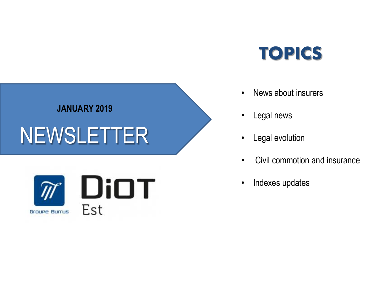# TOPICS

## • News about insurers

- Legal news
- Legal evolution
- Civil commotion and insurance
- Indexes updates



**JANUARY 2019**

NEWSLETTER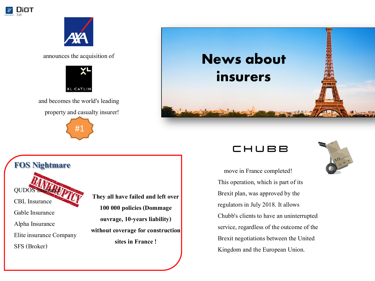



announces the acquisition of



and becomes the world's leading

property and casualty insurer!





### **FOS Nightmare**

QUDOS Insurance CBL Insurance Gable Insurance

Alpha Insurance Elite insurance Company SFS (Broker)

They all have failed and left over **100 000 policies (Dommage ouvrage, 10-years liability) without coverage for construction sites in France !**





 move in France completed! This operation, which is part of its Brexit plan, was approved by the regulators in July 2018. It allows Chubb's clients to have an uninterrupted service, regardless of the outcome of the Brexit negotiations between the United Kingdom and the European Union.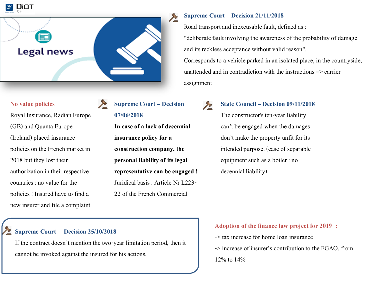

#### **No value policies**

Royal Insurance, Radian Europe (GB) and Quanta Europe (Ireland) placed insurance policies on the French market in 2018 but they lost their authorization in their respective countries : no value for the policies ! Insured have to find a new insurer and file a complaint

**Supreme Court – Decision**   $\frac{1}{2}$ **07/06/2018**

> **In case of a lack of decennial insurance policy for a construction company, the personal liability of its legal representative can be engaged !**  Juridical basis : Article Nr L223- 22 of the French Commercial

#### **Supreme Court – Decision 21/11/2018**

Road transport and inexcusable fault, defined as : "deliberate fault involving the awareness of the probability of damage and its reckless acceptance without valid reason". Corresponds to a vehicle parked in an isolated place, in the countryside, unattended and in contradiction with the instructions  $\Rightarrow$  carrier assignment

#### **State Council – Decision 09/11/2018**

The constructor's ten-year liability can't be engaged when the damages don't make the property unfit for its intended purpose. (case of separable equipment such as a boiler : no decennial liability)

#### **Supreme Court – Decision 25/10/2018**

If the contract doesn't mention the two-year limitation period, then it cannot be invoked against the insured for his actions.

#### **Adoption of the finance law project for 2019 :**

-> tax increase for home loan insurance -> increase of insurer's contribution to the FGAO, from

12% to 14%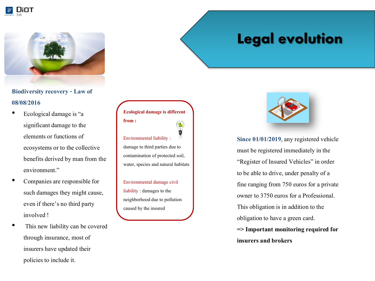



### **Biodiversity recovery - Law of 08/08/2016**

- Ecological damage is "a significant damage to the elements or functions of ecosystems or to the collective benefits derived by man from the environment."
- Companies are responsible for such damages they might cause, even if there's no third party involved !
- This new liability can be covered through insurance, most of insurers have updated their policies to include it.

**Ecological damage is different from :**  Environmental liability : damage to third parties due to contamination of protected soil, water, species and natural habitats

Environmental damage civil liability : damages to the neighborhood due to pollution caused by the insured

## Legal evolution



**Since 01/01/2019**, any registered vehicle must be registered immediately in the "Register of Insured Vehicles" in order to be able to drive, under penalty of a fine ranging from 750 euros for a private owner to 3750 euros for a Professional. This obligation is in addition to the obligation to have a green card. **=> Important monitoring required for insurers and brokers**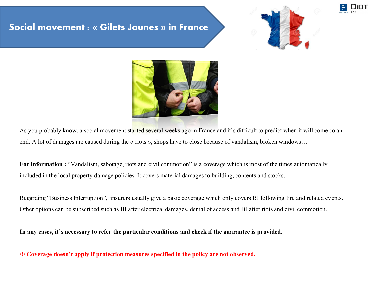## Social movement : « Gilets Jaunes » in France





As you probably know, a social movement started several weeks ago in France and it's difficult to predict when it will come to an end. A lot of damages are caused during the « riots », shops have to close because of vandalism, broken windows…

**For information : "Vandalism, sabotage, riots and civil commotion" is a coverage which is most of the times automatically** included in the local property damage policies. It covers material damages to building, contents and stocks.

Regarding "Business Interruption", insurers usually give a basic coverage which only covers BI following fire and related events. Other options can be subscribed such as BI after electrical damages, denial of access and BI after riots and civil commotion.

**In any cases, it's necessary to refer the particular conditions and check if the guarantee is provided.**

**/!\ Coverage doesn't apply if protection measures specified in the policy are not observed.**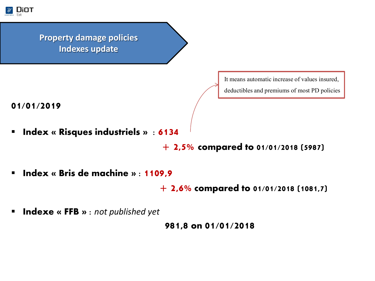

## **Property damage policies Indexes update**

It means automatic increase of values insured,

deductibles and premiums of most PD policies

**01/01/2019** 

**Index « Risques industriels » : 6134** 

**+ 2,5%** compared to 01/01/2018 (5987)

**Index « Bris de machine » : 1109,9** 

**+ 2,6%** compared to 01/01/2018 (1081,7)

Indexe « FFB » : *not published yet* 

981,8 on 01/01/2018